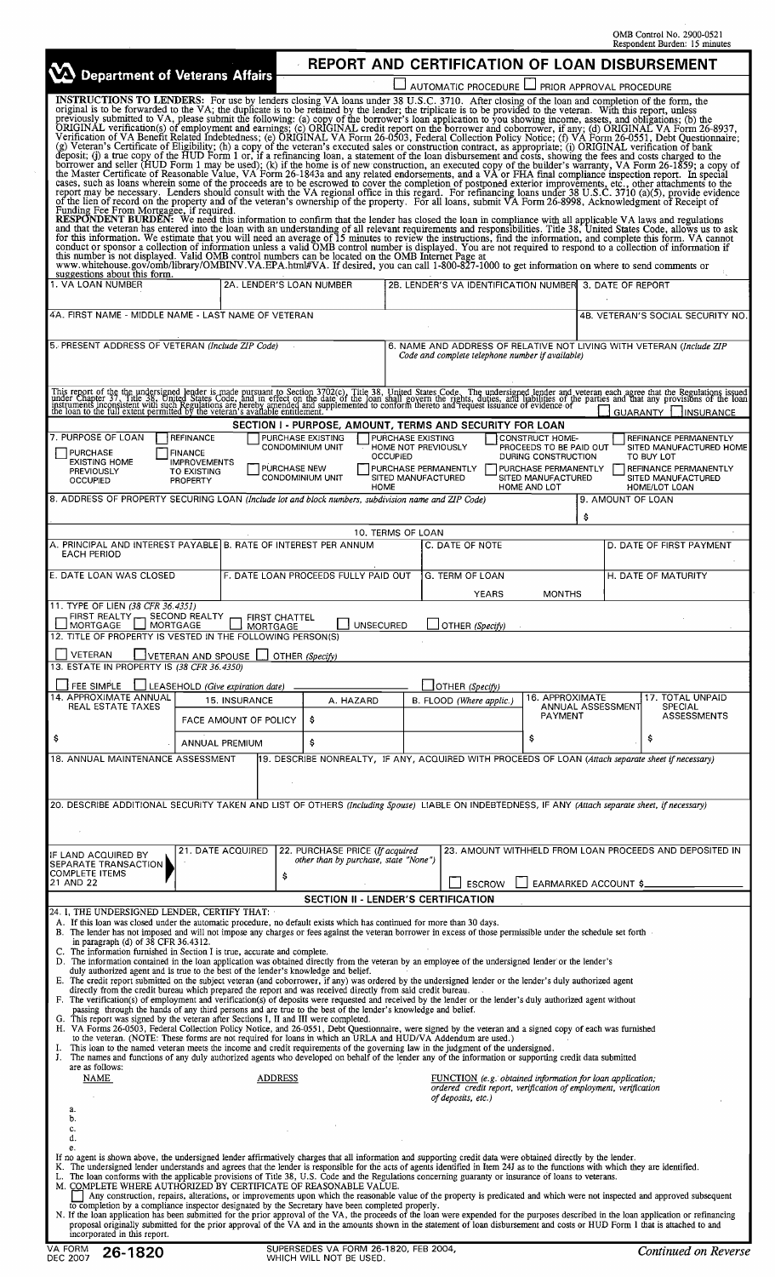OMB Control No. 2900-0521 Respondent Burden: 15 minutes

ī

| VA Department of Veterans Affairs                                                                                                                                                                                                                                                                                                                                                                                                                                                                                                                                                                                                                                                                                                                                                                                                                                                                                                                                                                                                                                                                                                                                                                                                                                                                                                                                                                                                                                                      |                                                                                      |                                                                                                                                                                                                                                                                                                                                                                                                                                                                                    |                                                                                                                          | REPORT AND CERTIFICATION OF LOAN DISBURSEMENT    |                                                                                                                                        |                                                                                                                              |                                                                                                                                       |  |
|----------------------------------------------------------------------------------------------------------------------------------------------------------------------------------------------------------------------------------------------------------------------------------------------------------------------------------------------------------------------------------------------------------------------------------------------------------------------------------------------------------------------------------------------------------------------------------------------------------------------------------------------------------------------------------------------------------------------------------------------------------------------------------------------------------------------------------------------------------------------------------------------------------------------------------------------------------------------------------------------------------------------------------------------------------------------------------------------------------------------------------------------------------------------------------------------------------------------------------------------------------------------------------------------------------------------------------------------------------------------------------------------------------------------------------------------------------------------------------------|--------------------------------------------------------------------------------------|------------------------------------------------------------------------------------------------------------------------------------------------------------------------------------------------------------------------------------------------------------------------------------------------------------------------------------------------------------------------------------------------------------------------------------------------------------------------------------|--------------------------------------------------------------------------------------------------------------------------|--------------------------------------------------|----------------------------------------------------------------------------------------------------------------------------------------|------------------------------------------------------------------------------------------------------------------------------|---------------------------------------------------------------------------------------------------------------------------------------|--|
| <b>INSTRUCTIONS TO LENDERS:</b> For use by lenders closing VA loans under 38 U.S.C. 3710. After closing of the loan and completion of the form, the                                                                                                                                                                                                                                                                                                                                                                                                                                                                                                                                                                                                                                                                                                                                                                                                                                                                                                                                                                                                                                                                                                                                                                                                                                                                                                                                    |                                                                                      |                                                                                                                                                                                                                                                                                                                                                                                                                                                                                    |                                                                                                                          | AUTOMATIC PROCEDURE                              | PRIOR APPROVAL PROCEDURE                                                                                                               |                                                                                                                              |                                                                                                                                       |  |
| INSTRUCTIONS TO LEVIDENS: For use by lenders closing VA loans under 38 U.S.C. 3710. After closing of the loan and completion of the form, the completion of the completion of the completion of the form and completion of th<br>cases, such as loans wherein some of the proceeds are to be escrowed to cover the completion of postponed exterior improvements, etc., other attachments to the<br>report may be necessary. Lenders should consult with the VA regional office in this regard. For refinancing loans under 38 U.S.C. 3710 (a)(5), provide evidence<br>of the lien of record on the property and of the veteran's ownership of the property. For all loans, submit VA Form 26-8998, Acknowledgment of Receipt of<br>Funding Fee From Mortgagee, if required.                                                                                                                                                                                                                                                                                                                                                                                                                                                                                                                                                                                                                                                                                                           |                                                                                      |                                                                                                                                                                                                                                                                                                                                                                                                                                                                                    |                                                                                                                          |                                                  |                                                                                                                                        |                                                                                                                              |                                                                                                                                       |  |
| RESPONDENT BURDEN: We need this information to confirm that the lender has closed the loan in compliance with all applicable VA laws and regulations<br>and that the veteran has entered into the loan with an understanding of all relevant requirements and responsibilities. Title 38, United States Code, allows us to ask for this information. We estimate that you will need an<br>conduct or sponsor a collection of information unless a valid OMB control number is displayed. You are not required to respond to a collection of information if this number is not displayed. Volid OMB control numbers can b<br>www.whitehouse.gov/omb/library/OMBINV.VA.EPA.html#VA. If desired, you can call 1-800-827-1000 to get information on where to send comments or<br>suggestions about this form.                                                                                                                                                                                                                                                                                                                                                                                                                                                                                                                                                                                                                                                                              |                                                                                      |                                                                                                                                                                                                                                                                                                                                                                                                                                                                                    |                                                                                                                          |                                                  |                                                                                                                                        |                                                                                                                              |                                                                                                                                       |  |
| 1. VA LOAN NUMBER                                                                                                                                                                                                                                                                                                                                                                                                                                                                                                                                                                                                                                                                                                                                                                                                                                                                                                                                                                                                                                                                                                                                                                                                                                                                                                                                                                                                                                                                      | 2A. LENDER'S LOAN NUMBER                                                             |                                                                                                                                                                                                                                                                                                                                                                                                                                                                                    |                                                                                                                          |                                                  |                                                                                                                                        | 2B. LENDER'S VA IDENTIFICATION NUMBER 3. DATE OF REPORT                                                                      |                                                                                                                                       |  |
| 4A. FIRST NAME - MIDDLE NAME - LAST NAME OF VETERAN                                                                                                                                                                                                                                                                                                                                                                                                                                                                                                                                                                                                                                                                                                                                                                                                                                                                                                                                                                                                                                                                                                                                                                                                                                                                                                                                                                                                                                    |                                                                                      |                                                                                                                                                                                                                                                                                                                                                                                                                                                                                    |                                                                                                                          |                                                  | 4B. VETERAN'S SOCIAL SECURITY NO.                                                                                                      |                                                                                                                              |                                                                                                                                       |  |
| 5. PRESENT ADDRESS OF VETERAN (Include ZIP Code)                                                                                                                                                                                                                                                                                                                                                                                                                                                                                                                                                                                                                                                                                                                                                                                                                                                                                                                                                                                                                                                                                                                                                                                                                                                                                                                                                                                                                                       |                                                                                      |                                                                                                                                                                                                                                                                                                                                                                                                                                                                                    |                                                                                                                          | Code and complete telephone number if available) |                                                                                                                                        |                                                                                                                              | 6. NAME AND ADDRESS OF RELATIVE NOT LIVING WITH VETERAN (Include ZIP                                                                  |  |
| This report of the the undersigned lender is made pursuant to Section 3702(c), Title 38, United States Code. The undersigned lender and veteran each agree that the Regulations issued<br>under Chapter 37. Title 38, United Stat                                                                                                                                                                                                                                                                                                                                                                                                                                                                                                                                                                                                                                                                                                                                                                                                                                                                                                                                                                                                                                                                                                                                                                                                                                                      |                                                                                      | SECTION I - PURPOSE, AMOUNT, TERMS AND SECURITY FOR LOAN                                                                                                                                                                                                                                                                                                                                                                                                                           |                                                                                                                          |                                                  |                                                                                                                                        | <b>GUARANTY</b>                                                                                                              | <b>INSURANCE</b>                                                                                                                      |  |
| 7. PURPOSE OF LOAN<br><b>PURCHASE</b><br>EXISTING HOME<br>PREVIOUSLY<br><b>OCCUPIED</b>                                                                                                                                                                                                                                                                                                                                                                                                                                                                                                                                                                                                                                                                                                                                                                                                                                                                                                                                                                                                                                                                                                                                                                                                                                                                                                                                                                                                | <b>REFINANCE</b><br><b>FINANCE</b><br><b>IMPROVEMENTS</b><br>TO EXISTING<br>PROPERTY | PURCHASE EXISTING<br>CONDOMINIUM UNIT<br>PURCHASE NEW<br>CONDOMINIUM UNIT                                                                                                                                                                                                                                                                                                                                                                                                          | PURCHASE EXISTING<br>HOME NOT PREVIOUSLY<br><b>OCCUPIED</b><br>PURCHASE PERMANENTLY<br>SITED MANUFACTURED<br><b>HOME</b> |                                                  | <b>CONSTRUCT HOME-</b><br>PROCEEDS TO BE PAID OUT<br>DURING CONSTRUCTION<br>PURCHASE PERMANENTLY<br>SITED MANUFACTURED<br>HOME AND LOT |                                                                                                                              | REFINANCE PERMANENTLY<br>SITED MANUFACTURED HOME<br>TO BUY LOT<br><b>REFINANCE PERMANENTLY</b><br>SITED MANUFACTURED<br>HOME/LOT LOAN |  |
| 8. ADDRESS OF PROPERTY SECURING LOAN (Include lot and block numbers, subdivision name and ZIP Code)                                                                                                                                                                                                                                                                                                                                                                                                                                                                                                                                                                                                                                                                                                                                                                                                                                                                                                                                                                                                                                                                                                                                                                                                                                                                                                                                                                                    |                                                                                      |                                                                                                                                                                                                                                                                                                                                                                                                                                                                                    |                                                                                                                          |                                                  | \$                                                                                                                                     | 9. AMOUNT OF LOAN                                                                                                            |                                                                                                                                       |  |
| A. PRINCIPAL AND INTEREST PAYABLE B. RATE OF INTEREST PER ANNUM<br><b>EACH PERIOD</b>                                                                                                                                                                                                                                                                                                                                                                                                                                                                                                                                                                                                                                                                                                                                                                                                                                                                                                                                                                                                                                                                                                                                                                                                                                                                                                                                                                                                  |                                                                                      |                                                                                                                                                                                                                                                                                                                                                                                                                                                                                    | 10. TERMS OF LOAN                                                                                                        | C. DATE OF NOTE                                  |                                                                                                                                        |                                                                                                                              | D. DATE OF FIRST PAYMENT                                                                                                              |  |
| E. DATE LOAN WAS CLOSED                                                                                                                                                                                                                                                                                                                                                                                                                                                                                                                                                                                                                                                                                                                                                                                                                                                                                                                                                                                                                                                                                                                                                                                                                                                                                                                                                                                                                                                                |                                                                                      | F. DATE LOAN PROCEEDS FULLY PAID OUT                                                                                                                                                                                                                                                                                                                                                                                                                                               |                                                                                                                          | G. TERM OF LOAN<br><b>YEARS</b>                  | <b>MONTHS</b>                                                                                                                          |                                                                                                                              | H. DATE OF MATURITY                                                                                                                   |  |
| 11. TYPE OF LIEN (38 CFR 36.4351)<br>FIRST REALTY - SECOND REALTY<br>MORTGAGE L<br>12. TITLE OF PROPERTY IS VESTED IN THE FOLLOWING PERSON(S)                                                                                                                                                                                                                                                                                                                                                                                                                                                                                                                                                                                                                                                                                                                                                                                                                                                                                                                                                                                                                                                                                                                                                                                                                                                                                                                                          | MORTGAGE<br>MORTGAGE                                                                 | <b>FIRST CHATTEL</b><br><b>UNSECURED</b>                                                                                                                                                                                                                                                                                                                                                                                                                                           |                                                                                                                          | OTHER (Specify)                                  |                                                                                                                                        |                                                                                                                              |                                                                                                                                       |  |
| <b>VETERAN</b><br>13. ESTATE IN PROPERTY IS (38 CFR 36.4350)                                                                                                                                                                                                                                                                                                                                                                                                                                                                                                                                                                                                                                                                                                                                                                                                                                                                                                                                                                                                                                                                                                                                                                                                                                                                                                                                                                                                                           | $\Box$ VETERAN AND SPOUSE $\Box$ OTHER (Specify)                                     |                                                                                                                                                                                                                                                                                                                                                                                                                                                                                    |                                                                                                                          |                                                  |                                                                                                                                        |                                                                                                                              |                                                                                                                                       |  |
| FEE SIMPLE                                                                                                                                                                                                                                                                                                                                                                                                                                                                                                                                                                                                                                                                                                                                                                                                                                                                                                                                                                                                                                                                                                                                                                                                                                                                                                                                                                                                                                                                             | LEASEHOLD (Give expiration date)                                                     |                                                                                                                                                                                                                                                                                                                                                                                                                                                                                    |                                                                                                                          | OTHER (Specify)                                  |                                                                                                                                        |                                                                                                                              |                                                                                                                                       |  |
| 14. APPROXIMATE ANNUAL<br>15. INSURANCE<br>REAL ESTATE TAXES                                                                                                                                                                                                                                                                                                                                                                                                                                                                                                                                                                                                                                                                                                                                                                                                                                                                                                                                                                                                                                                                                                                                                                                                                                                                                                                                                                                                                           |                                                                                      | A. HAZARD                                                                                                                                                                                                                                                                                                                                                                                                                                                                          |                                                                                                                          | B. FLOOD (Where applic.)                         | 16. APPROXIMATE                                                                                                                        | 17. TOTAL UNPAID<br>ANNUAL ASSESSMENT<br><b>SPECIAL</b>                                                                      |                                                                                                                                       |  |
| \$                                                                                                                                                                                                                                                                                                                                                                                                                                                                                                                                                                                                                                                                                                                                                                                                                                                                                                                                                                                                                                                                                                                                                                                                                                                                                                                                                                                                                                                                                     | \$<br>FACE AMOUNT OF POLICY<br>\$<br>ANNUAL PREMIUM                                  |                                                                                                                                                                                                                                                                                                                                                                                                                                                                                    |                                                                                                                          |                                                  | PAYMENT<br>\$                                                                                                                          | ASSESSMENTS<br>\$                                                                                                            |                                                                                                                                       |  |
| 18. ANNUAL MAINTENANCE ASSESSMENT                                                                                                                                                                                                                                                                                                                                                                                                                                                                                                                                                                                                                                                                                                                                                                                                                                                                                                                                                                                                                                                                                                                                                                                                                                                                                                                                                                                                                                                      |                                                                                      | 19. DESCRIBE NONREALTY, IF ANY, ACQUIRED WITH PROCEEDS OF LOAN (Attach separate sheet if necessary)                                                                                                                                                                                                                                                                                                                                                                                |                                                                                                                          |                                                  |                                                                                                                                        |                                                                                                                              |                                                                                                                                       |  |
| 20. DESCRIBE ADDITIONAL SECURITY TAKEN AND LIST OF OTHERS (Including Spouse) LIABLE ON INDEBTEDNESS, IF ANY (Attach separate sheet, if necessary)                                                                                                                                                                                                                                                                                                                                                                                                                                                                                                                                                                                                                                                                                                                                                                                                                                                                                                                                                                                                                                                                                                                                                                                                                                                                                                                                      |                                                                                      |                                                                                                                                                                                                                                                                                                                                                                                                                                                                                    |                                                                                                                          |                                                  |                                                                                                                                        |                                                                                                                              |                                                                                                                                       |  |
| IF LAND ACQUIRED BY<br>SEPARATE TRANSACTION                                                                                                                                                                                                                                                                                                                                                                                                                                                                                                                                                                                                                                                                                                                                                                                                                                                                                                                                                                                                                                                                                                                                                                                                                                                                                                                                                                                                                                            | 21. DATE ACQUIRED                                                                    |                                                                                                                                                                                                                                                                                                                                                                                                                                                                                    | 22. PURCHASE PRICE (If acquired<br>other than by purchase, state "None")                                                 |                                                  |                                                                                                                                        | 23. AMOUNT WITHHELD FROM LOAN PROCEEDS AND DEPOSITED IN                                                                      |                                                                                                                                       |  |
| COMPLETE ITEMS<br>21 AND 22                                                                                                                                                                                                                                                                                                                                                                                                                                                                                                                                                                                                                                                                                                                                                                                                                                                                                                                                                                                                                                                                                                                                                                                                                                                                                                                                                                                                                                                            |                                                                                      | \$                                                                                                                                                                                                                                                                                                                                                                                                                                                                                 | SECTION II - LENDER'S CERTIFICATION                                                                                      |                                                  | EARMARKED ACCOUNT \$<br><b>ESCROW</b>                                                                                                  |                                                                                                                              |                                                                                                                                       |  |
| 24. I, THE UNDERSIGNED LENDER, CERTIFY THAT:<br>A. If this loan was closed under the automatic procedure, no default exists which has continued for more than 30 days.<br>B. The lender has not imposed and will not impose any charges or fees against the veteran borrower in excess of those permissible under the schedule set forth<br>in paragraph (d) of 38 CFR 36.4312.<br>C. The information furnished in Section I is true, accurate and complete.<br>D. The information contained in the loan application was obtained directly from the veteran by an employee of the undersigned lender or the lender's<br>duly authorized agent and is true to the best of the lender's knowledge and belief.<br>E. The credit report submitted on the subject veteran (and coborrower, if any) was ordered by the undersigned lender or the lender's duly authorized agent<br>F. The verification(s) of employment and verification(s) of deposits were requested and received by the lender or the lender's duly authorized agent without<br>G. This report was signed by the veteran after Sections I, II and III were completed.<br>H. VA Forms 26-0503, Federal Collection Policy Notice, and 26-0551, Debt Questionnaire, were signed by the veteran and a signed copy of each was furnished<br>I.<br>J. The names and functions of any duly authorized agents who developed on behalf of the lender any of the information or supporting credit data submitted<br>are as follows: |                                                                                      | directly from the credit bureau which prepared the report and was received directly from said credit bureau.<br>passing through the hands of any third persons and are true to the best of the lender's knowledge and belief.<br>to the veteran. (NOTE: These forms are not required for loans in which an URLA and HUD/VA Addendum are used.)<br>This loan to the named veteran meets the income and credit requirements of the governing law in the judgment of the undersigned. |                                                                                                                          |                                                  |                                                                                                                                        |                                                                                                                              |                                                                                                                                       |  |
| NAME<br>а.                                                                                                                                                                                                                                                                                                                                                                                                                                                                                                                                                                                                                                                                                                                                                                                                                                                                                                                                                                                                                                                                                                                                                                                                                                                                                                                                                                                                                                                                             |                                                                                      | <b>ADDRESS</b>                                                                                                                                                                                                                                                                                                                                                                                                                                                                     |                                                                                                                          | of deposits, etc.)                               |                                                                                                                                        | FUNCTION (e.g. obtained information for loan application;<br>ordered credit report, verification of employment, verification |                                                                                                                                       |  |
| b.<br>c.<br>d.                                                                                                                                                                                                                                                                                                                                                                                                                                                                                                                                                                                                                                                                                                                                                                                                                                                                                                                                                                                                                                                                                                                                                                                                                                                                                                                                                                                                                                                                         |                                                                                      |                                                                                                                                                                                                                                                                                                                                                                                                                                                                                    |                                                                                                                          |                                                  |                                                                                                                                        |                                                                                                                              |                                                                                                                                       |  |
| e.<br>If no agent is shown above, the undersigned lender affirmatively charges that all information and supporting credit data were obtained directly by the lender.<br>K. The undersigned lender understands and agrees that the lender is responsible for the acts of agents identified in Item 24J as to the functions with which they are identified.<br>L. The loan conforms with the applicable provisions of Title 38, U.S. Code and the Regulations concerning guaranty or insurance of loans to veterans.<br>M. COMPLETE WHERE AUTHORIZED BY CERTIFICATE OF REASONABLE VALUE.<br>N. If the loan application has been submitted for the prior approval of the VA, the proceeds of the loan were expended for the purposes described in the loan application or refinancing<br>incorporated in this report.                                                                                                                                                                                                                                                                                                                                                                                                                                                                                                                                                                                                                                                                     |                                                                                      | Any construction, repairs, alterations, or improvements upon which the reasonable value of the property is predicated and which were not inspected and approved subsequent<br>to completion by a compliance inspector designated by the Secretary have been completed properly.<br>proposal originally submitted for the prior approval of the VA and in the amounts shown in the statement of loan disbursement and costs or HUD Form 1 that is attached to and                   |                                                                                                                          |                                                  |                                                                                                                                        |                                                                                                                              |                                                                                                                                       |  |

VA FORM 26-1820<br>
VA FORM 26-1820 SUPERSEDES VA FORM 26-1820, FEB 2004, *Continued on Reverse* **DEC 2007**